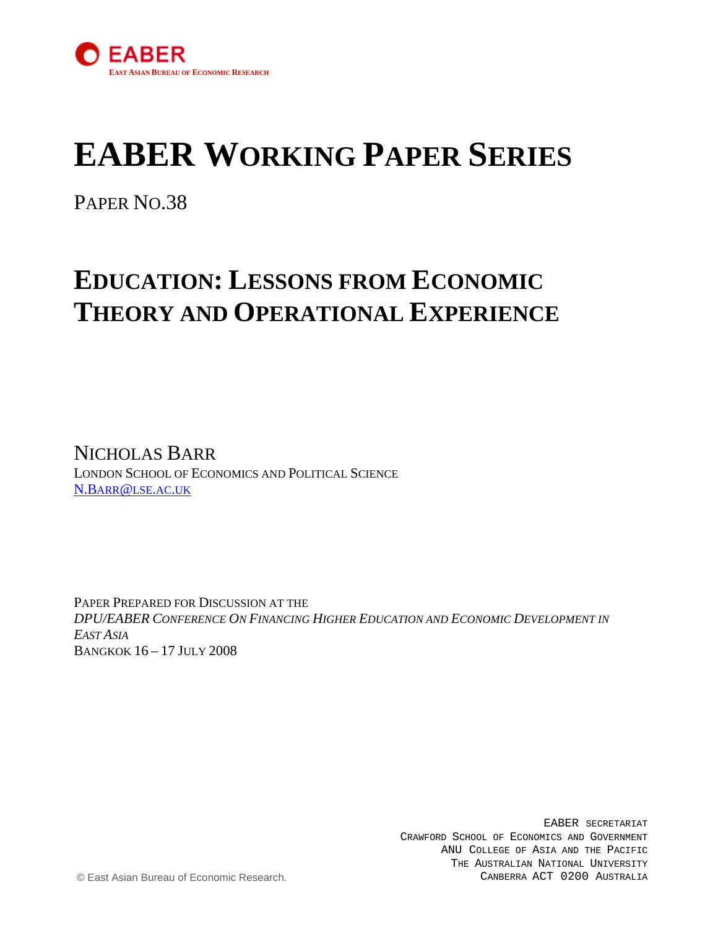

# **EABER WORKING PAPER SERIES**

PAPER NO.38

## **EDUCATION: LESSONS FROM ECONOMIC THEORY AND OPERATIONAL EXPERIENCE**

NICHOLAS BARR LONDON SCHOOL OF [E](mailto:N.Barr@lse.ac.uk)CONOMICS AND POLITICAL SCIENCE [N.BARR@LSE.AC.UK](mailto:N.Barr@lse.ac.uk)

PAPER PREPARED FOR DISCUSSION AT THE *DPU/EABER CONFERENCE ON FINANCING HIGHER EDUCATION AND ECONOMIC DEVELOPMENT IN EAST ASIA* BANGKOK 16 – 17 JULY 2008

> EABER SECRETARIAT CRAWFORD SCHOOL OF ECONOMICS AND GOVERNMENT ANU COLLEGE OF ASIA AND THE PACIFIC THE AUSTRALIAN NATIONAL UNIVERSITY CANBERRA ACT 0200 AUSTRALIA

© East Asian Bureau of Economic Research.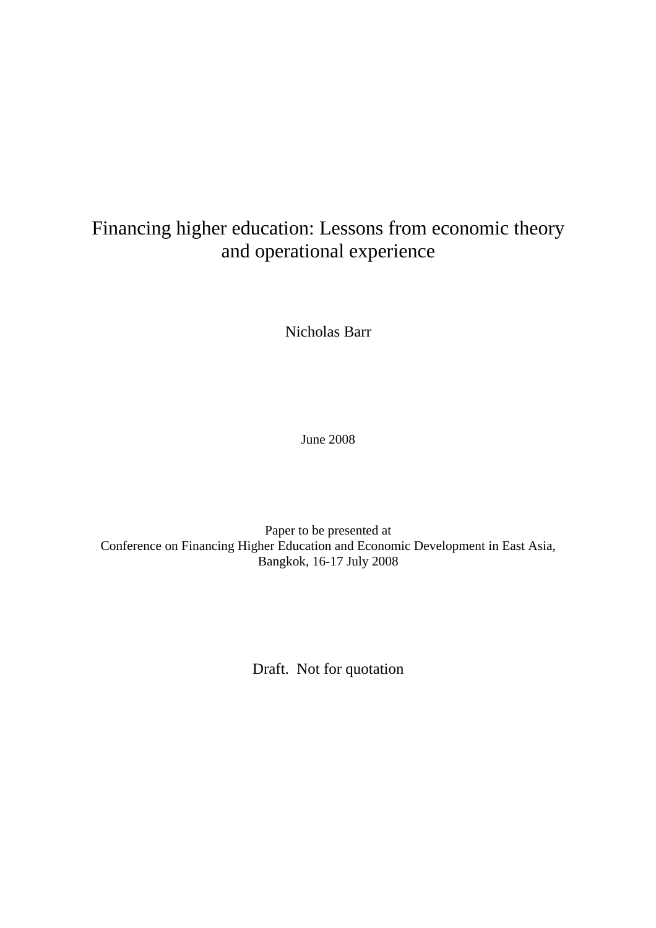## Financing higher education: Lessons from economic theory and operational experience

Nicholas Barr

June 2008

Paper to be presented at Conference on Financing Higher Education and Economic Development in East Asia, Bangkok, 16-17 July 2008

Draft. Not for quotation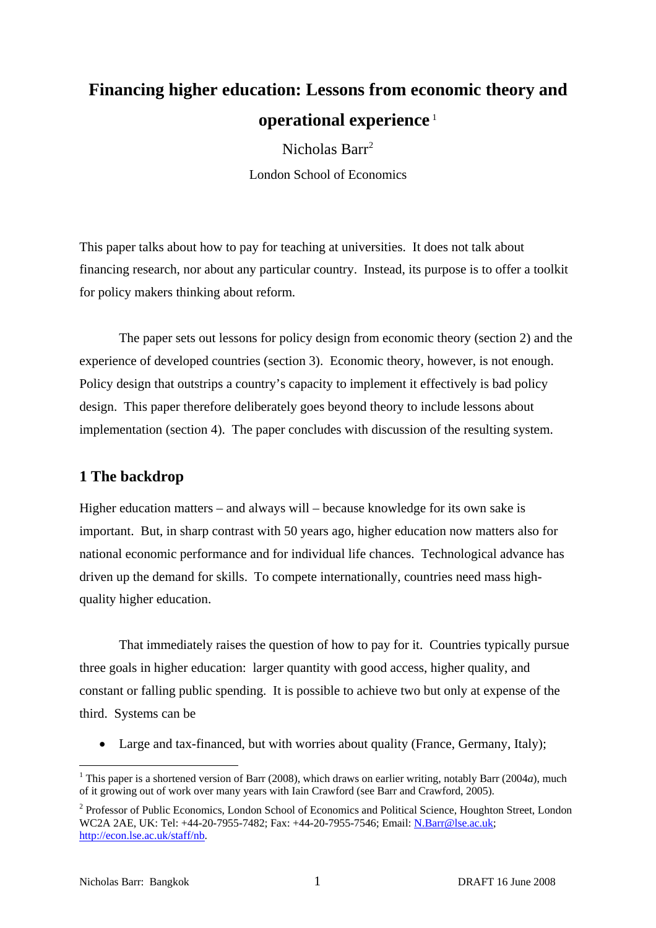## **Financing higher education: Lessons from economic theory and operational experience** [1](#page-2-0)

Nicholas Barr<sup>[2](#page-2-1)</sup> London School of Economics

This paper talks about how to pay for teaching at universities. It does not talk about financing research, nor about any particular country. Instead, its purpose is to offer a toolkit for policy makers thinking about reform.

 The paper sets out lessons for policy design from economic theory (section 2) and the experience of developed countries (section 3). Economic theory, however, is not enough. Policy design that outstrips a country's capacity to implement it effectively is bad policy design. This paper therefore deliberately goes beyond theory to include lessons about implementation (section 4). The paper concludes with discussion of the resulting system.

## **1 The backdrop**

Higher education matters – and always will – because knowledge for its own sake is important. But, in sharp contrast with 50 years ago, higher education now matters also for national economic performance and for individual life chances. Technological advance has driven up the demand for skills. To compete internationally, countries need mass highquality higher education.

 That immediately raises the question of how to pay for it. Countries typically pursue three goals in higher education: larger quantity with good access, higher quality, and constant or falling public spending. It is possible to achieve two but only at expense of the third. Systems can be

• Large and tax-financed, but with worries about quality (France, Germany, Italy);

<span id="page-2-0"></span><sup>&</sup>lt;sup>1</sup> This paper is a shortened version of Barr (2008), which draws on earlier writing, notably Barr (2004*a*), much of it growing out of work over many years with Iain Crawford (see Barr and Crawford, 2005).

<span id="page-2-1"></span><sup>&</sup>lt;sup>2</sup> Professor of Public Economics, London School of Economics and Political Science, Houghton Street, London WC2A 2AE, UK: Tel: +44-20-7955-7482; Fax: +44-20-7955-7546; Email: [N.Barr@lse.ac.uk](mailto:N.Barr@lse.ac.uk); [http://econ.lse.ac.uk/staff/nb.](http://econ.lse.ac.uk/staff/nb)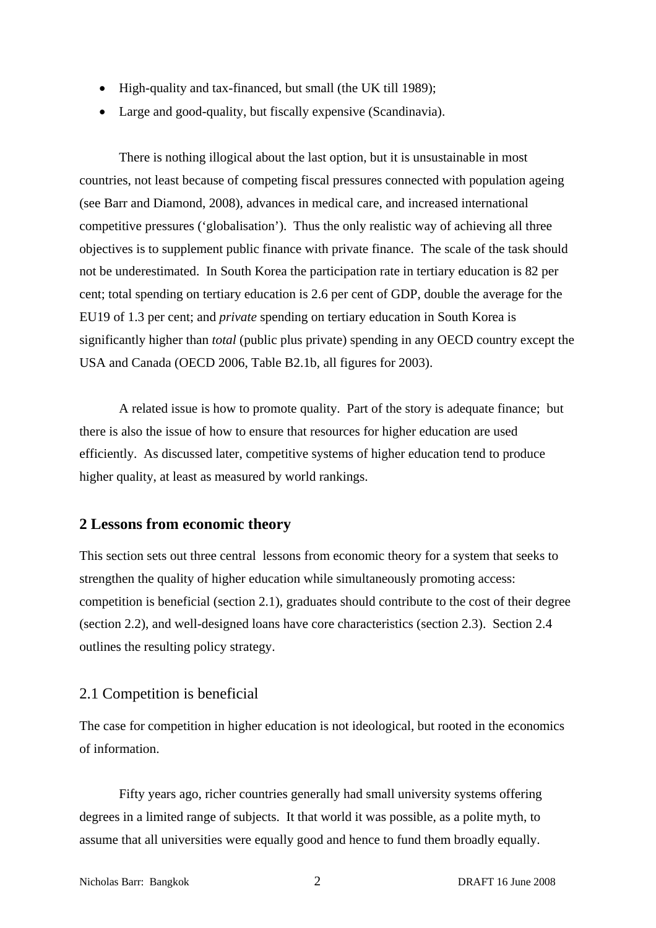- High-quality and tax-financed, but small (the UK till 1989);
- Large and good-quality, but fiscally expensive (Scandinavia).

There is nothing illogical about the last option, but it is unsustainable in most countries, not least because of competing fiscal pressures connected with population ageing (see Barr and Diamond, 2008), advances in medical care, and increased international competitive pressures ('globalisation'). Thus the only realistic way of achieving all three objectives is to supplement public finance with private finance. The scale of the task should not be underestimated. In South Korea the participation rate in tertiary education is 82 per cent; total spending on tertiary education is 2.6 per cent of GDP, double the average for the EU19 of 1.3 per cent; and *private* spending on tertiary education in South Korea is significantly higher than *total* (public plus private) spending in any OECD country except the USA and Canada (OECD 2006, Table B2.1b, all figures for 2003).

 A related issue is how to promote quality. Part of the story is adequate finance; but there is also the issue of how to ensure that resources for higher education are used efficiently. As discussed later, competitive systems of higher education tend to produce higher quality, at least as measured by world rankings.

## **2 Lessons from economic theory**

This section sets out three central lessons from economic theory for a system that seeks to strengthen the quality of higher education while simultaneously promoting access: competition is beneficial (section 2.1), graduates should contribute to the cost of their degree (section 2.2), and well-designed loans have core characteristics (section 2.3). Section 2.4 outlines the resulting policy strategy.

## 2.1 Competition is beneficial

The case for competition in higher education is not ideological, but rooted in the economics of information.

Fifty years ago, richer countries generally had small university systems offering degrees in a limited range of subjects. It that world it was possible, as a polite myth, to assume that all universities were equally good and hence to fund them broadly equally.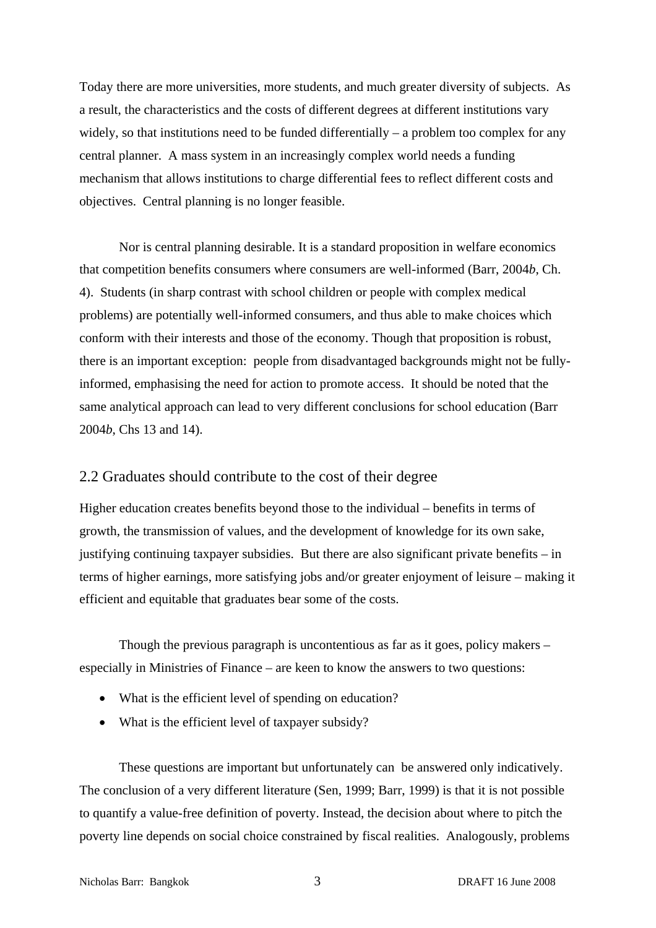Today there are more universities, more students, and much greater diversity of subjects. As a result, the characteristics and the costs of different degrees at different institutions vary widely, so that institutions need to be funded differentially – a problem too complex for any central planner. A mass system in an increasingly complex world needs a funding mechanism that allows institutions to charge differential fees to reflect different costs and objectives. Central planning is no longer feasible.

Nor is central planning desirable. It is a standard proposition in welfare economics that competition benefits consumers where consumers are well-informed (Barr, 2004*b*, Ch. 4). Students (in sharp contrast with school children or people with complex medical problems) are potentially well-informed consumers, and thus able to make choices which conform with their interests and those of the economy. Though that proposition is robust, there is an important exception: people from disadvantaged backgrounds might not be fullyinformed, emphasising the need for action to promote access. It should be noted that the same analytical approach can lead to very different conclusions for school education (Barr 2004*b*, Chs 13 and 14).

## 2.2 Graduates should contribute to the cost of their degree

Higher education creates benefits beyond those to the individual – benefits in terms of growth, the transmission of values, and the development of knowledge for its own sake, justifying continuing taxpayer subsidies. But there are also significant private benefits – in terms of higher earnings, more satisfying jobs and/or greater enjoyment of leisure – making it efficient and equitable that graduates bear some of the costs.

 Though the previous paragraph is uncontentious as far as it goes, policy makers – especially in Ministries of Finance – are keen to know the answers to two questions:

- What is the efficient level of spending on education?
- What is the efficient level of taxpayer subsidy?

These questions are important but unfortunately can be answered only indicatively. The conclusion of a very different literature (Sen, 1999; Barr, 1999) is that it is not possible to quantify a value-free definition of poverty. Instead, the decision about where to pitch the poverty line depends on social choice constrained by fiscal realities. Analogously, problems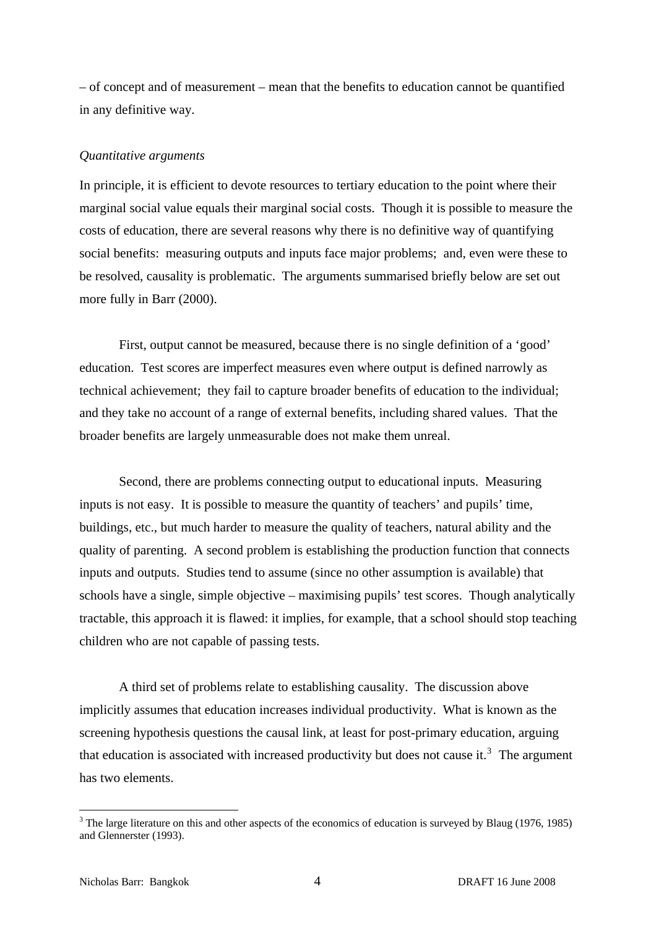<span id="page-5-0"></span>– of concept and of measurement – mean that the benefits to education cannot be quantified in any definitive way.

#### *Quantitative arguments*

In principle, it is efficient to devote resources to tertiary education to the point where their marginal social value equals their marginal social costs. Though it is possible to measure the costs of education, there are several reasons why there is no definitive way of quantifying social benefits: measuring outputs and inputs face major problems; and, even were these to be resolved, causality is problematic. The arguments summarised briefly below are set out more fully in Barr (2000).

 First, output cannot be measured, because there is no single definition of a 'good' education. Test scores are imperfect measures even where output is defined narrowly as technical achievement; they fail to capture broader benefits of education to the individual; and they take no account of a range of external benefits, including shared values. That the broader benefits are largely unmeasurable does not make them unreal.

Second, there are problems connecting output to educational inputs. Measuring inputs is not easy. It is possible to measure the quantity of teachers' and pupils' time, buildings, etc., but much harder to measure the quality of teachers, natural ability and the quality of parenting. A second problem is establishing the production function that connects inputs and outputs. Studies tend to assume (since no other assumption is available) that schools have a single, simple objective – maximising pupils' test scores. Though analytically tractable, this approach it is flawed: it implies, for example, that a school should stop teaching children who are not capable of passing tests.

 A third set of problems relate to establishing causality. The discussion above implicitly assumes that education increases individual productivity. What is known as the screening hypothesis questions the causal link, at least for post-primary education, arguing that education is associated with increased productivity but does not cause it.<sup>[3](#page-5-0)</sup> The argument has two elements.

 $3$  The large literature on this and other aspects of the economics of education is surveyed by Blaug (1976, 1985) and Glennerster (1993).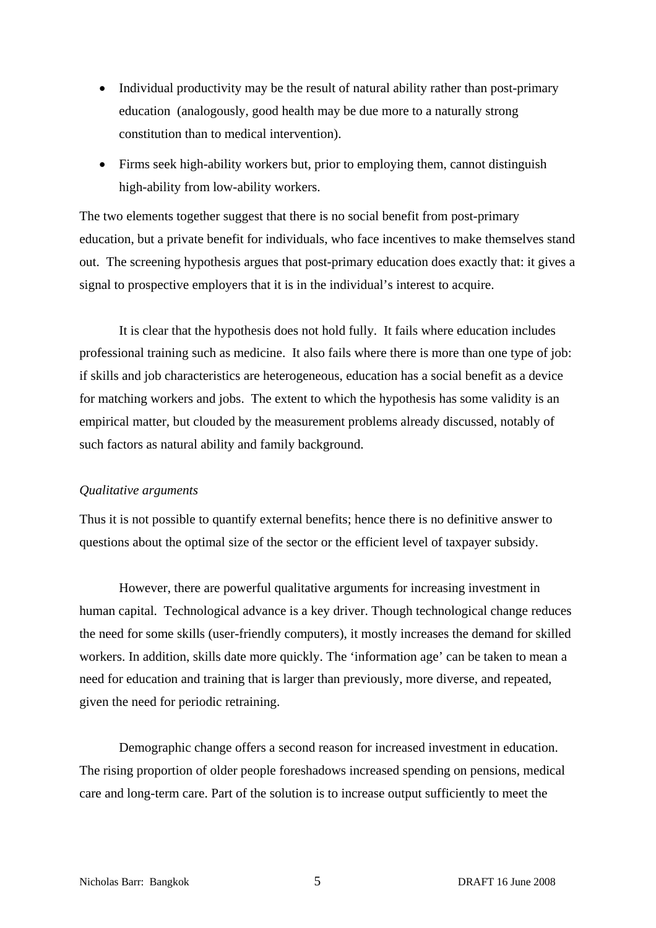- Individual productivity may be the result of natural ability rather than post-primary education (analogously, good health may be due more to a naturally strong constitution than to medical intervention).
- Firms seek high-ability workers but, prior to employing them, cannot distinguish high-ability from low-ability workers.

The two elements together suggest that there is no social benefit from post-primary education, but a private benefit for individuals, who face incentives to make themselves stand out. The screening hypothesis argues that post-primary education does exactly that: it gives a signal to prospective employers that it is in the individual's interest to acquire.

It is clear that the hypothesis does not hold fully. It fails where education includes professional training such as medicine. It also fails where there is more than one type of job: if skills and job characteristics are heterogeneous, education has a social benefit as a device for matching workers and jobs. The extent to which the hypothesis has some validity is an empirical matter, but clouded by the measurement problems already discussed, notably of such factors as natural ability and family background.

### *Qualitative arguments*

Thus it is not possible to quantify external benefits; hence there is no definitive answer to questions about the optimal size of the sector or the efficient level of taxpayer subsidy.

However, there are powerful qualitative arguments for increasing investment in human capital. Technological advance is a key driver. Though technological change reduces the need for some skills (user-friendly computers), it mostly increases the demand for skilled workers. In addition, skills date more quickly. The 'information age' can be taken to mean a need for education and training that is larger than previously, more diverse, and repeated, given the need for periodic retraining.

 Demographic change offers a second reason for increased investment in education. The rising proportion of older people foreshadows increased spending on pensions, medical care and long-term care. Part of the solution is to increase output sufficiently to meet the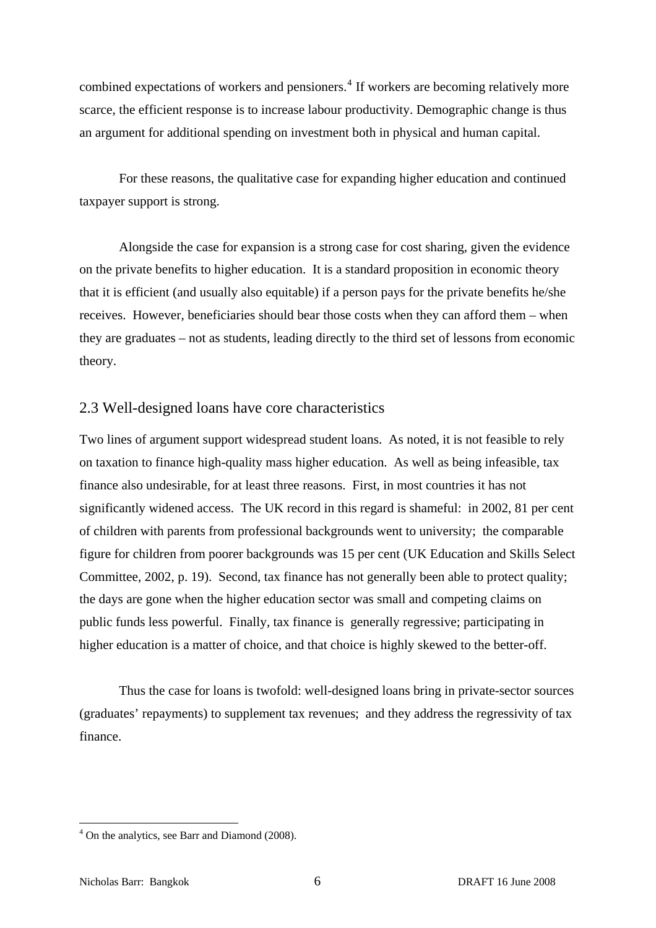<span id="page-7-0"></span>combined expectations of workers and pensioners.<sup>[4](#page-7-0)</sup> If workers are becoming relatively more scarce, the efficient response is to increase labour productivity. Demographic change is thus an argument for additional spending on investment both in physical and human capital.

For these reasons, the qualitative case for expanding higher education and continued taxpayer support is strong.

Alongside the case for expansion is a strong case for cost sharing, given the evidence on the private benefits to higher education. It is a standard proposition in economic theory that it is efficient (and usually also equitable) if a person pays for the private benefits he/she receives. However, beneficiaries should bear those costs when they can afford them – when they are graduates – not as students, leading directly to the third set of lessons from economic theory.

## 2.3 Well-designed loans have core characteristics

Two lines of argument support widespread student loans. As noted, it is not feasible to rely on taxation to finance high-quality mass higher education. As well as being infeasible, tax finance also undesirable, for at least three reasons. First, in most countries it has not significantly widened access. The UK record in this regard is shameful: in 2002, 81 per cent of children with parents from professional backgrounds went to university; the comparable figure for children from poorer backgrounds was 15 per cent (UK Education and Skills Select Committee, 2002, p. 19). Second, tax finance has not generally been able to protect quality; the days are gone when the higher education sector was small and competing claims on public funds less powerful. Finally, tax finance is generally regressive; participating in higher education is a matter of choice, and that choice is highly skewed to the better-off.

Thus the case for loans is twofold: well-designed loans bring in private-sector sources (graduates' repayments) to supplement tax revenues; and they address the regressivity of tax finance.

<sup>&</sup>lt;sup>4</sup> On the analytics, see Barr and Diamond (2008).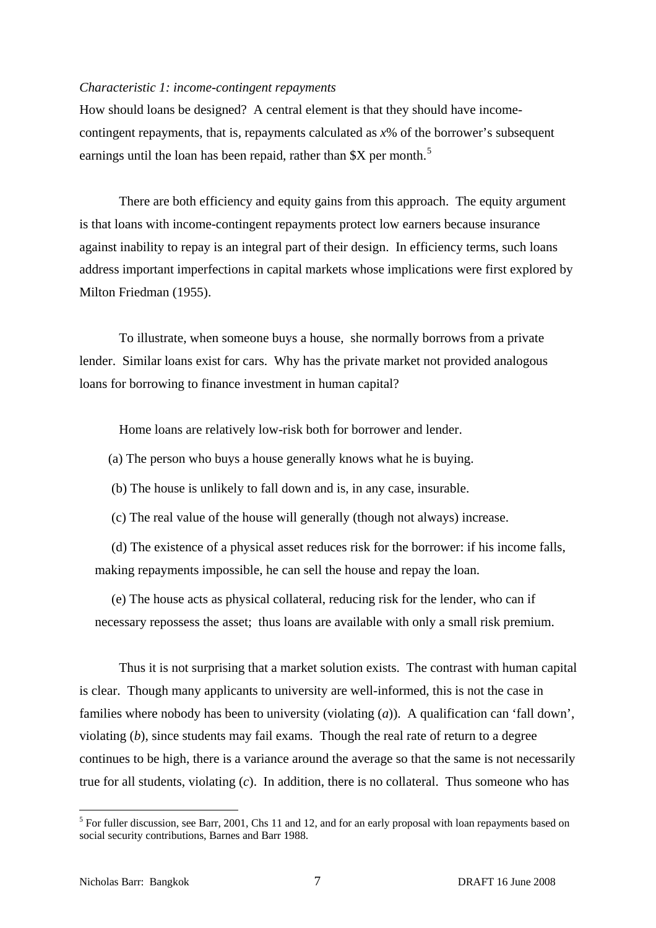#### <span id="page-8-0"></span>*Characteristic 1: income-contingent repayments*

How should loans be designed? A central element is that they should have incomecontingent repayments, that is, repayments calculated as *x*% of the borrower's subsequent earnings until the loan has been repaid, rather than  $X$  per month.<sup>[5](#page-8-0)</sup>

 There are both efficiency and equity gains from this approach. The equity argument is that loans with income-contingent repayments protect low earners because insurance against inability to repay is an integral part of their design. In efficiency terms, such loans address important imperfections in capital markets whose implications were first explored by Milton Friedman (1955).

To illustrate, when someone buys a house, she normally borrows from a private lender. Similar loans exist for cars. Why has the private market not provided analogous loans for borrowing to finance investment in human capital?

Home loans are relatively low-risk both for borrower and lender.

(a) The person who buys a house generally knows what he is buying.

(b) The house is unlikely to fall down and is, in any case, insurable.

(c) The real value of the house will generally (though not always) increase.

 (d) The existence of a physical asset reduces risk for the borrower: if his income falls, making repayments impossible, he can sell the house and repay the loan.

 (e) The house acts as physical collateral, reducing risk for the lender, who can if necessary repossess the asset; thus loans are available with only a small risk premium.

 Thus it is not surprising that a market solution exists. The contrast with human capital is clear. Though many applicants to university are well-informed, this is not the case in families where nobody has been to university (violating (*a*)). A qualification can 'fall down', violating (*b*), since students may fail exams. Though the real rate of return to a degree continues to be high, there is a variance around the average so that the same is not necessarily true for all students, violating (*c*). In addition, there is no collateral. Thus someone who has

<sup>&</sup>lt;sup>5</sup> For fuller discussion, see Barr, 2001, Chs 11 and 12, and for an early proposal with loan repayments based on social security contributions, Barnes and Barr 1988.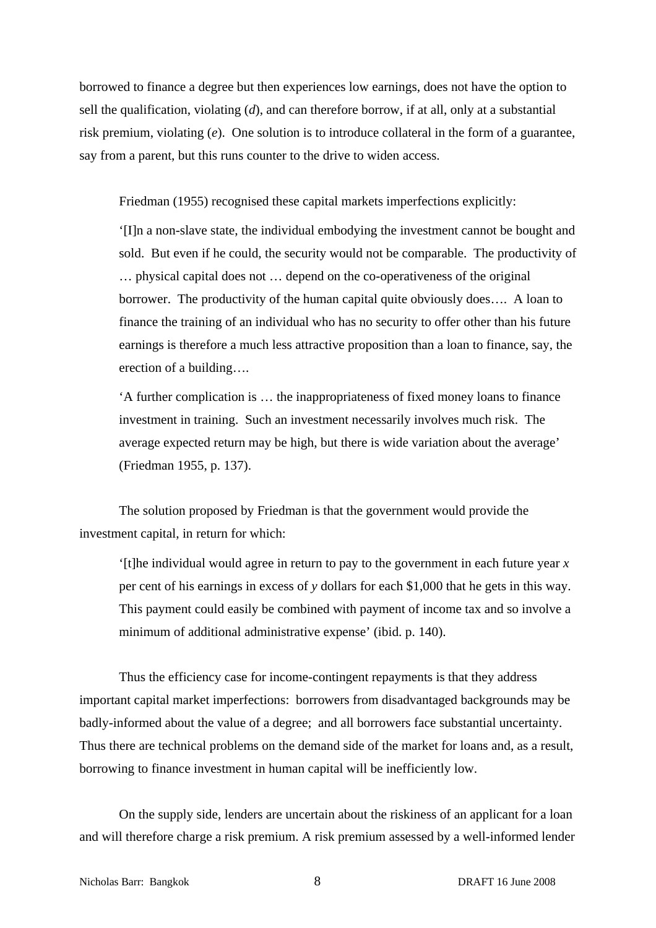borrowed to finance a degree but then experiences low earnings, does not have the option to sell the qualification, violating (*d*), and can therefore borrow, if at all, only at a substantial risk premium, violating (*e*). One solution is to introduce collateral in the form of a guarantee, say from a parent, but this runs counter to the drive to widen access.

Friedman (1955) recognised these capital markets imperfections explicitly:

'[I]n a non-slave state, the individual embodying the investment cannot be bought and sold. But even if he could, the security would not be comparable. The productivity of … physical capital does not … depend on the co-operativeness of the original borrower. The productivity of the human capital quite obviously does…. A loan to finance the training of an individual who has no security to offer other than his future earnings is therefore a much less attractive proposition than a loan to finance, say, the erection of a building….

'A further complication is … the inappropriateness of fixed money loans to finance investment in training. Such an investment necessarily involves much risk. The average expected return may be high, but there is wide variation about the average' (Friedman 1955, p. 137).

 The solution proposed by Friedman is that the government would provide the investment capital, in return for which:

'[t]he individual would agree in return to pay to the government in each future year *x* per cent of his earnings in excess of *y* dollars for each \$1,000 that he gets in this way. This payment could easily be combined with payment of income tax and so involve a minimum of additional administrative expense' (ibid. p. 140).

Thus the efficiency case for income-contingent repayments is that they address important capital market imperfections: borrowers from disadvantaged backgrounds may be badly-informed about the value of a degree; and all borrowers face substantial uncertainty. Thus there are technical problems on the demand side of the market for loans and, as a result, borrowing to finance investment in human capital will be inefficiently low.

On the supply side, lenders are uncertain about the riskiness of an applicant for a loan and will therefore charge a risk premium. A risk premium assessed by a well-informed lender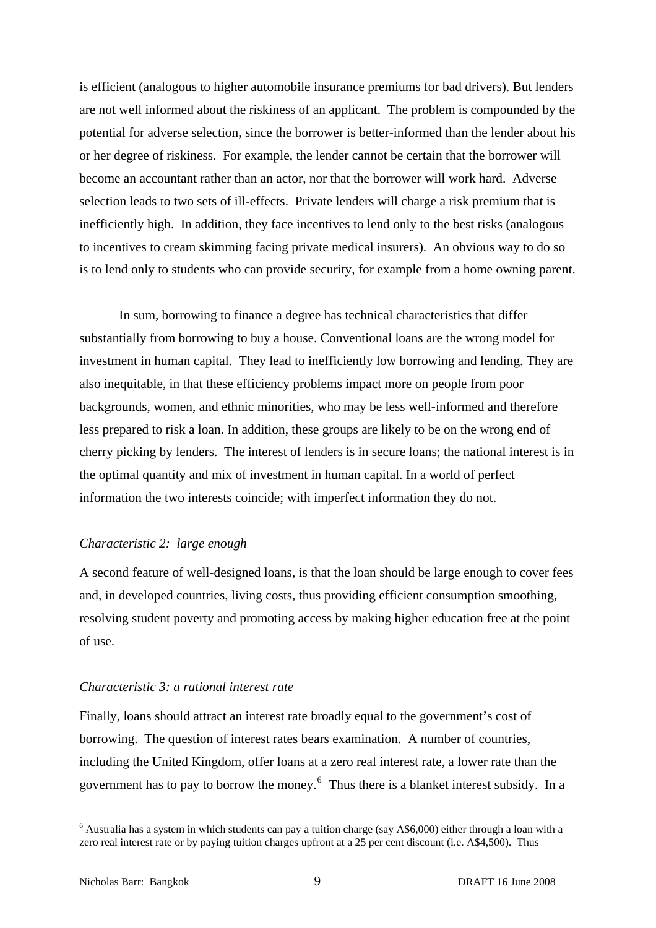<span id="page-10-0"></span>is efficient (analogous to higher automobile insurance premiums for bad drivers). But lenders are not well informed about the riskiness of an applicant. The problem is compounded by the potential for adverse selection, since the borrower is better-informed than the lender about his or her degree of riskiness. For example, the lender cannot be certain that the borrower will become an accountant rather than an actor, nor that the borrower will work hard. Adverse selection leads to two sets of ill-effects. Private lenders will charge a risk premium that is inefficiently high. In addition, they face incentives to lend only to the best risks (analogous to incentives to cream skimming facing private medical insurers). An obvious way to do so is to lend only to students who can provide security, for example from a home owning parent.

In sum, borrowing to finance a degree has technical characteristics that differ substantially from borrowing to buy a house. Conventional loans are the wrong model for investment in human capital. They lead to inefficiently low borrowing and lending. They are also inequitable, in that these efficiency problems impact more on people from poor backgrounds, women, and ethnic minorities, who may be less well-informed and therefore less prepared to risk a loan. In addition, these groups are likely to be on the wrong end of cherry picking by lenders. The interest of lenders is in secure loans; the national interest is in the optimal quantity and mix of investment in human capital. In a world of perfect information the two interests coincide; with imperfect information they do not.

#### *Characteristic 2: large enough*

A second feature of well-designed loans, is that the loan should be large enough to cover fees and, in developed countries, living costs, thus providing efficient consumption smoothing, resolving student poverty and promoting access by making higher education free at the point of use.

#### *Characteristic 3: a rational interest rate*

Finally, loans should attract an interest rate broadly equal to the government's cost of borrowing. The question of interest rates bears examination. A number of countries, including the United Kingdom, offer loans at a zero real interest rate, a lower rate than the government has to pay to borrow the money. $6$  Thus there is a blanket interest subsidy. In a

 $6$  Australia has a system in which students can pay a tuition charge (say A\$6,000) either through a loan with a zero real interest rate or by paying tuition charges upfront at a 25 per cent discount (i.e. A\$4,500). Thus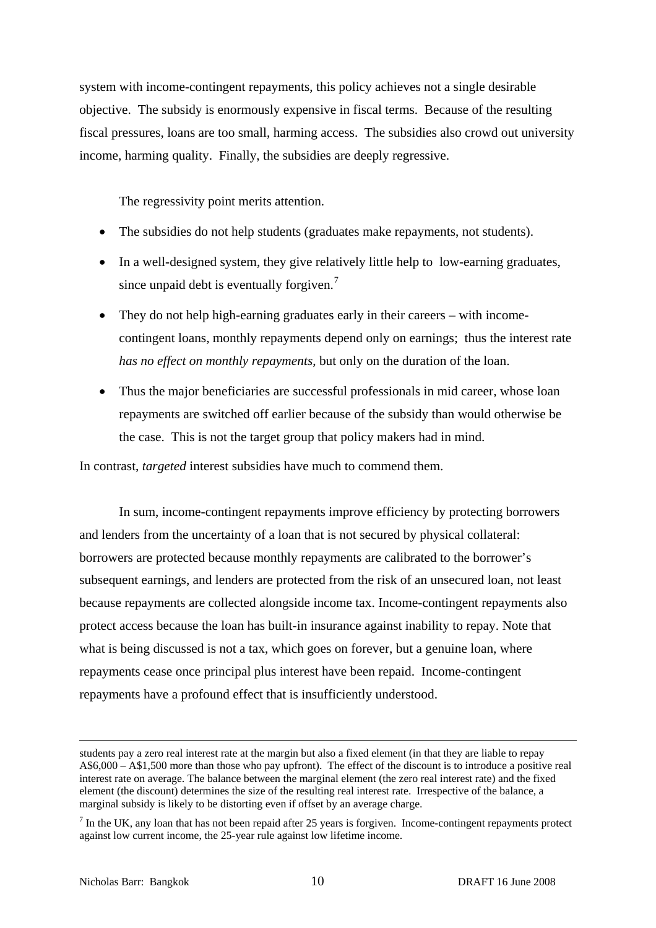<span id="page-11-0"></span>system with income-contingent repayments, this policy achieves not a single desirable objective. The subsidy is enormously expensive in fiscal terms. Because of the resulting fiscal pressures, loans are too small, harming access. The subsidies also crowd out university income, harming quality. Finally, the subsidies are deeply regressive.

The regressivity point merits attention.

- The subsidies do not help students (graduates make repayments, not students).
- In a well-designed system, they give relatively little help to low-earning graduates, since unpaid debt is eventually forgiven.<sup>[7](#page-11-0)</sup>
- They do not help high-earning graduates early in their careers with incomecontingent loans, monthly repayments depend only on earnings; thus the interest rate *has no effect on monthly repayments*, but only on the duration of the loan.
- Thus the major beneficiaries are successful professionals in mid career, whose loan repayments are switched off earlier because of the subsidy than would otherwise be the case. This is not the target group that policy makers had in mind.

In contrast, *targeted* interest subsidies have much to commend them.

In sum, income-contingent repayments improve efficiency by protecting borrowers and lenders from the uncertainty of a loan that is not secured by physical collateral: borrowers are protected because monthly repayments are calibrated to the borrower's subsequent earnings, and lenders are protected from the risk of an unsecured loan, not least because repayments are collected alongside income tax. Income-contingent repayments also protect access because the loan has built-in insurance against inability to repay. Note that what is being discussed is not a tax, which goes on forever, but a genuine loan, where repayments cease once principal plus interest have been repaid. Income-contingent repayments have a profound effect that is insufficiently understood.

students pay a zero real interest rate at the margin but also a fixed element (in that they are liable to repay A\$6,000 – A\$1,500 more than those who pay upfront). The effect of the discount is to introduce a positive real interest rate on average. The balance between the marginal element (the zero real interest rate) and the fixed element (the discount) determines the size of the resulting real interest rate. Irrespective of the balance, a marginal subsidy is likely to be distorting even if offset by an average charge.

 $<sup>7</sup>$  In the UK, any loan that has not been repaid after 25 years is forgiven. Income-contingent repayments protect</sup> against low current income, the 25-year rule against low lifetime income.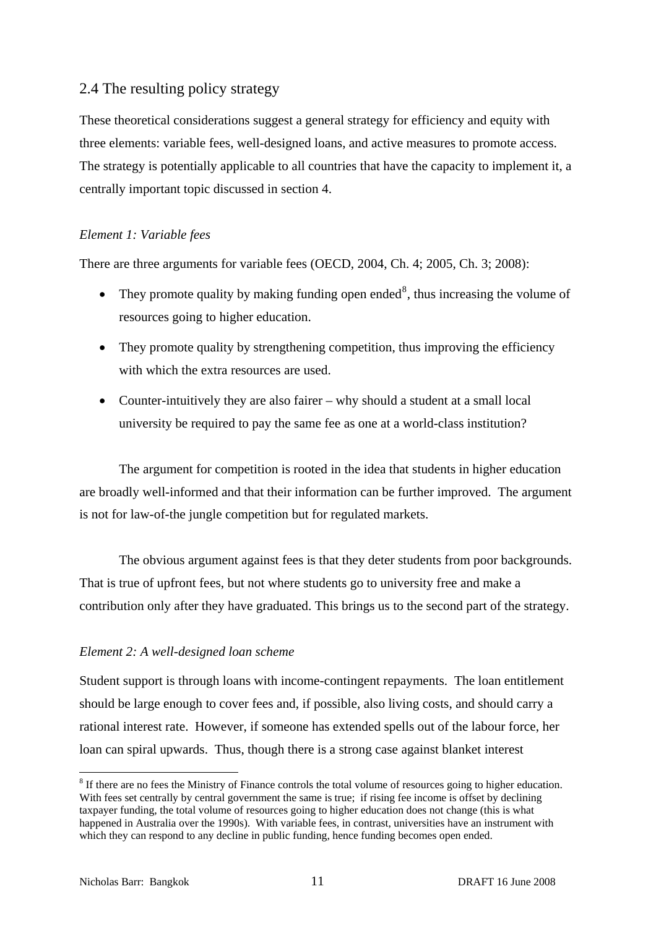## <span id="page-12-0"></span>2.4 The resulting policy strategy

These theoretical considerations suggest a general strategy for efficiency and equity with three elements: variable fees, well-designed loans, and active measures to promote access. The strategy is potentially applicable to all countries that have the capacity to implement it, a centrally important topic discussed in section 4.

## *Element 1: Variable fees*

There are three arguments for variable fees (OECD, 2004, Ch. 4; 2005, Ch. 3; 2008):

- They promote quality by making funding open ended<sup>[8](#page-12-0)</sup>, thus increasing the volume of resources going to higher education.
- They promote quality by strengthening competition, thus improving the efficiency with which the extra resources are used.
- Counter-intuitively they are also fairer why should a student at a small local university be required to pay the same fee as one at a world-class institution?

The argument for competition is rooted in the idea that students in higher education are broadly well-informed and that their information can be further improved. The argument is not for law-of-the jungle competition but for regulated markets.

 The obvious argument against fees is that they deter students from poor backgrounds. That is true of upfront fees, but not where students go to university free and make a contribution only after they have graduated. This brings us to the second part of the strategy.

## *Element 2: A well-designed loan scheme*

Student support is through loans with income-contingent repayments. The loan entitlement should be large enough to cover fees and, if possible, also living costs, and should carry a rational interest rate. However, if someone has extended spells out of the labour force, her loan can spiral upwards. Thus, though there is a strong case against blanket interest

 $8$  If there are no fees the Ministry of Finance controls the total volume of resources going to higher education. With fees set centrally by central government the same is true; if rising fee income is offset by declining taxpayer funding, the total volume of resources going to higher education does not change (this is what happened in Australia over the 1990s). With variable fees, in contrast, universities have an instrument with which they can respond to any decline in public funding, hence funding becomes open ended.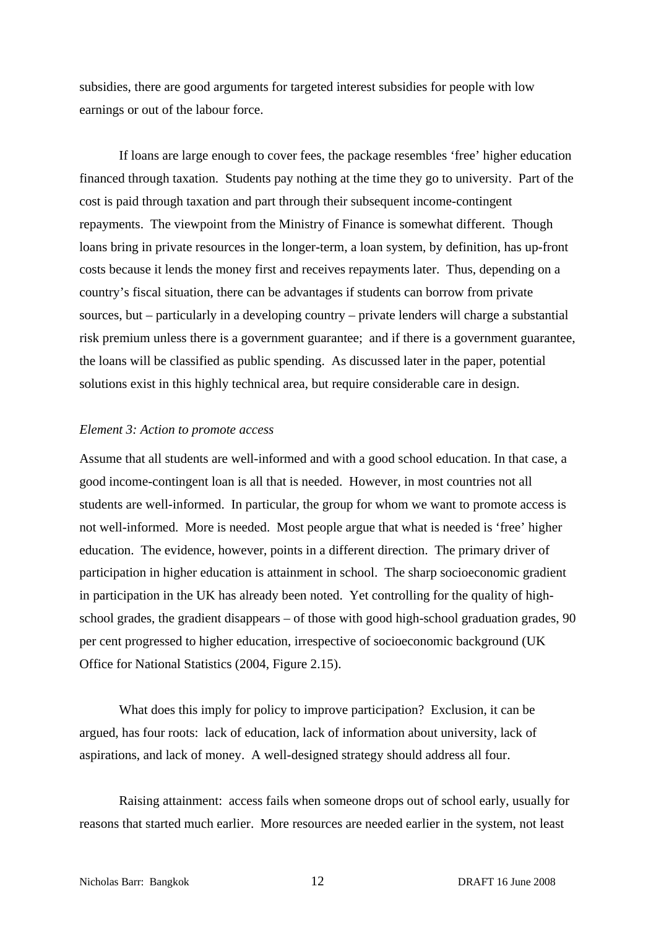subsidies, there are good arguments for targeted interest subsidies for people with low earnings or out of the labour force.

 If loans are large enough to cover fees, the package resembles 'free' higher education financed through taxation. Students pay nothing at the time they go to university. Part of the cost is paid through taxation and part through their subsequent income-contingent repayments. The viewpoint from the Ministry of Finance is somewhat different. Though loans bring in private resources in the longer-term, a loan system, by definition, has up-front costs because it lends the money first and receives repayments later. Thus, depending on a country's fiscal situation, there can be advantages if students can borrow from private sources, but – particularly in a developing country – private lenders will charge a substantial risk premium unless there is a government guarantee; and if there is a government guarantee, the loans will be classified as public spending. As discussed later in the paper, potential solutions exist in this highly technical area, but require considerable care in design.

#### *Element 3: Action to promote access*

Assume that all students are well-informed and with a good school education. In that case, a good income-contingent loan is all that is needed. However, in most countries not all students are well-informed. In particular, the group for whom we want to promote access is not well-informed. More is needed. Most people argue that what is needed is 'free' higher education. The evidence, however, points in a different direction. The primary driver of participation in higher education is attainment in school. The sharp socioeconomic gradient in participation in the UK has already been noted. Yet controlling for the quality of highschool grades, the gradient disappears – of those with good high-school graduation grades, 90 per cent progressed to higher education, irrespective of socioeconomic background (UK Office for National Statistics (2004, Figure 2.15).

 What does this imply for policy to improve participation? Exclusion, it can be argued, has four roots: lack of education, lack of information about university, lack of aspirations, and lack of money. A well-designed strategy should address all four.

Raising attainment: access fails when someone drops out of school early, usually for reasons that started much earlier. More resources are needed earlier in the system, not least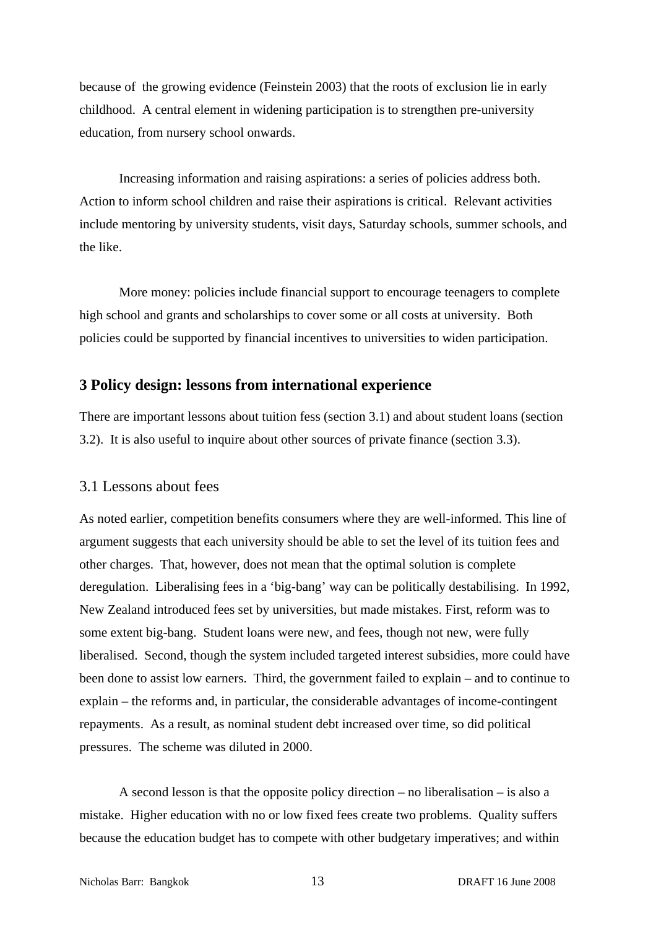because of the growing evidence (Feinstein 2003) that the roots of exclusion lie in early childhood. A central element in widening participation is to strengthen pre-university education, from nursery school onwards.

Increasing information and raising aspirations: a series of policies address both. Action to inform school children and raise their aspirations is critical. Relevant activities include mentoring by university students, visit days, Saturday schools, summer schools, and the like.

More money: policies include financial support to encourage teenagers to complete high school and grants and scholarships to cover some or all costs at university. Both policies could be supported by financial incentives to universities to widen participation.

## **3 Policy design: lessons from international experience**

There are important lessons about tuition fess (section 3.1) and about student loans (section 3.2). It is also useful to inquire about other sources of private finance (section 3.3).

## 3.1 Lessons about fees

As noted earlier, competition benefits consumers where they are well-informed. This line of argument suggests that each university should be able to set the level of its tuition fees and other charges. That, however, does not mean that the optimal solution is complete deregulation. Liberalising fees in a 'big-bang' way can be politically destabilising. In 1992, New Zealand introduced fees set by universities, but made mistakes. First, reform was to some extent big-bang. Student loans were new, and fees, though not new, were fully liberalised. Second, though the system included targeted interest subsidies, more could have been done to assist low earners. Third, the government failed to explain – and to continue to explain – the reforms and, in particular, the considerable advantages of income-contingent repayments. As a result, as nominal student debt increased over time, so did political pressures. The scheme was diluted in 2000.

A second lesson is that the opposite policy direction – no liberalisation – is also a mistake. Higher education with no or low fixed fees create two problems. Quality suffers because the education budget has to compete with other budgetary imperatives; and within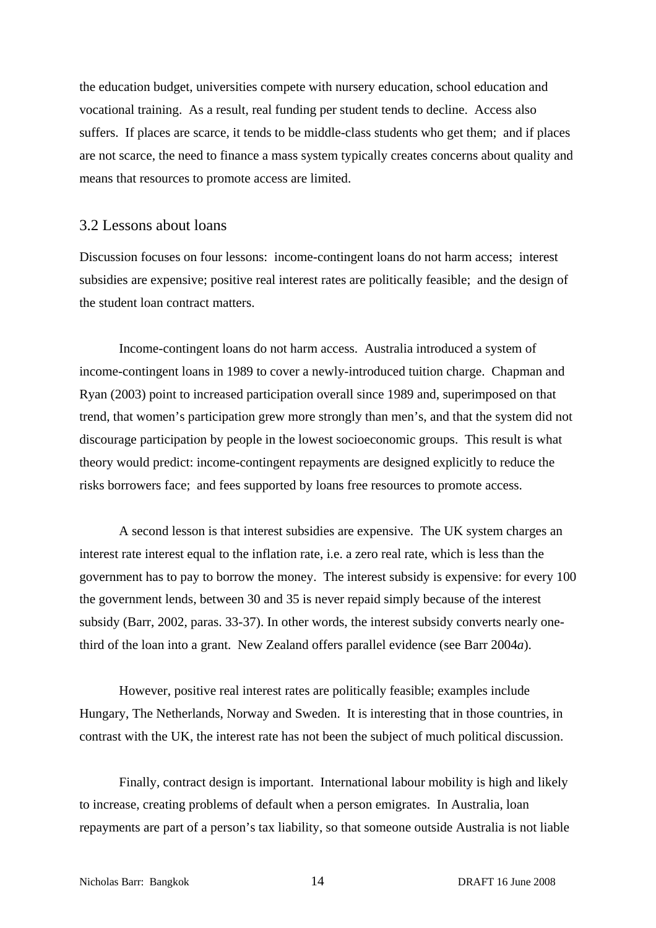the education budget, universities compete with nursery education, school education and vocational training. As a result, real funding per student tends to decline. Access also suffers. If places are scarce, it tends to be middle-class students who get them; and if places are not scarce, the need to finance a mass system typically creates concerns about quality and means that resources to promote access are limited.

## 3.2 Lessons about loans

Discussion focuses on four lessons: income-contingent loans do not harm access; interest subsidies are expensive; positive real interest rates are politically feasible; and the design of the student loan contract matters.

Income-contingent loans do not harm access. Australia introduced a system of income-contingent loans in 1989 to cover a newly-introduced tuition charge. Chapman and Ryan (2003) point to increased participation overall since 1989 and, superimposed on that trend, that women's participation grew more strongly than men's, and that the system did not discourage participation by people in the lowest socioeconomic groups. This result is what theory would predict: income-contingent repayments are designed explicitly to reduce the risks borrowers face; and fees supported by loans free resources to promote access.

A second lesson is that interest subsidies are expensive. The UK system charges an interest rate interest equal to the inflation rate, i.e. a zero real rate, which is less than the government has to pay to borrow the money. The interest subsidy is expensive: for every 100 the government lends, between 30 and 35 is never repaid simply because of the interest subsidy (Barr, 2002, paras. 33-37). In other words, the interest subsidy converts nearly onethird of the loan into a grant. New Zealand offers parallel evidence (see Barr 2004*a*).

However, positive real interest rates are politically feasible; examples include Hungary, The Netherlands, Norway and Sweden. It is interesting that in those countries, in contrast with the UK, the interest rate has not been the subject of much political discussion.

Finally, contract design is important. International labour mobility is high and likely to increase, creating problems of default when a person emigrates. In Australia, loan repayments are part of a person's tax liability, so that someone outside Australia is not liable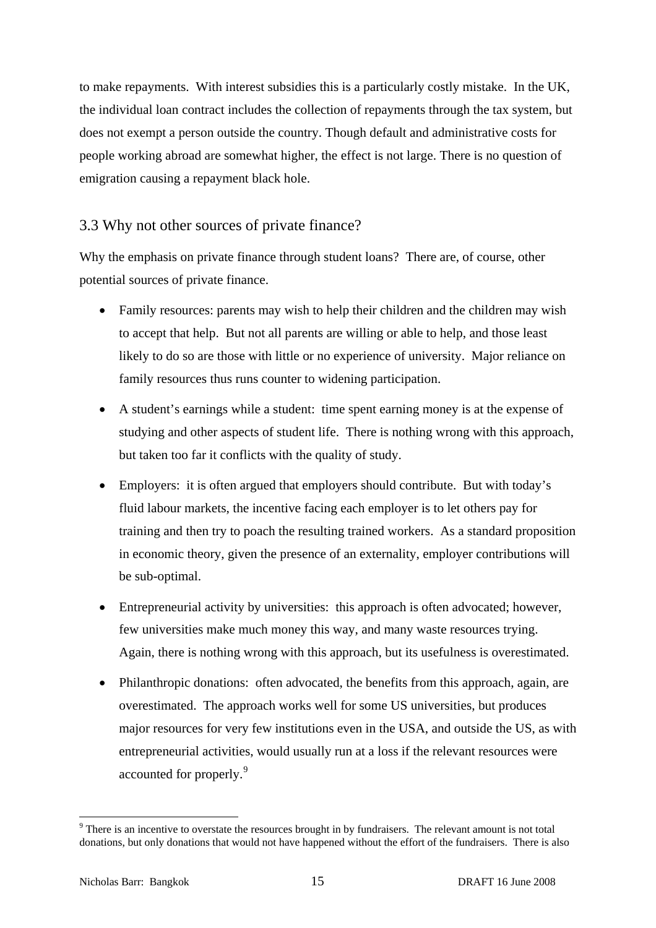<span id="page-16-0"></span>to make repayments. With interest subsidies this is a particularly costly mistake. In the UK, the individual loan contract includes the collection of repayments through the tax system, but does not exempt a person outside the country. Though default and administrative costs for people working abroad are somewhat higher, the effect is not large. There is no question of emigration causing a repayment black hole.

## 3.3 Why not other sources of private finance?

Why the emphasis on private finance through student loans? There are, of course, other potential sources of private finance.

- Family resources: parents may wish to help their children and the children may wish to accept that help. But not all parents are willing or able to help, and those least likely to do so are those with little or no experience of university. Major reliance on family resources thus runs counter to widening participation.
- A student's earnings while a student: time spent earning money is at the expense of studying and other aspects of student life. There is nothing wrong with this approach, but taken too far it conflicts with the quality of study.
- Employers: it is often argued that employers should contribute. But with today's fluid labour markets, the incentive facing each employer is to let others pay for training and then try to poach the resulting trained workers. As a standard proposition in economic theory, given the presence of an externality, employer contributions will be sub-optimal.
- Entrepreneurial activity by universities: this approach is often advocated; however, few universities make much money this way, and many waste resources trying. Again, there is nothing wrong with this approach, but its usefulness is overestimated.
- Philanthropic donations: often advocated, the benefits from this approach, again, are overestimated. The approach works well for some US universities, but produces major resources for very few institutions even in the USA, and outside the US, as with entrepreneurial activities, would usually run at a loss if the relevant resources were accounted for properly.[9](#page-16-0)

 $9<sup>9</sup>$  There is an incentive to overstate the resources brought in by fundraisers. The relevant amount is not total donations, but only donations that would not have happened without the effort of the fundraisers. There is also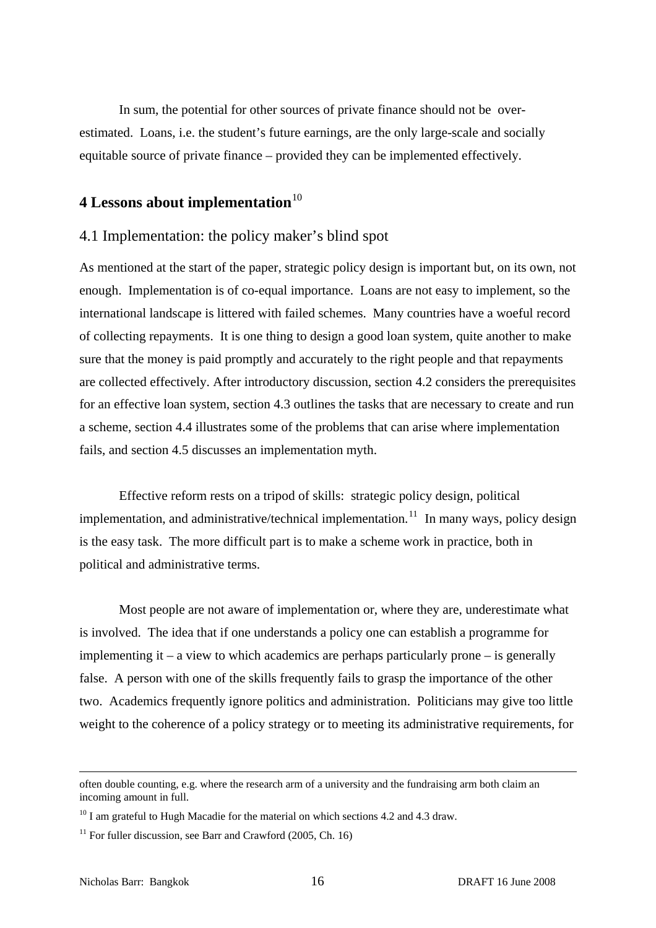<span id="page-17-0"></span>In sum, the potential for other sources of private finance should not be overestimated. Loans, i.e. the student's future earnings, are the only large-scale and socially equitable source of private finance – provided they can be implemented effectively.

## **4 Lessons about implementation**<sup>[10](#page-17-0)</sup>

## 4.1 Implementation: the policy maker's blind spot

As mentioned at the start of the paper, strategic policy design is important but, on its own, not enough. Implementation is of co-equal importance. Loans are not easy to implement, so the international landscape is littered with failed schemes. Many countries have a woeful record of collecting repayments. It is one thing to design a good loan system, quite another to make sure that the money is paid promptly and accurately to the right people and that repayments are collected effectively. After introductory discussion, section 4.2 considers the prerequisites for an effective loan system, section 4.3 outlines the tasks that are necessary to create and run a scheme, section 4.4 illustrates some of the problems that can arise where implementation fails, and section 4.5 discusses an implementation myth.

 Effective reform rests on a tripod of skills: strategic policy design, political implementation, and administrative/technical implementation.<sup>[11](#page-17-0)</sup> In many ways, policy design is the easy task. The more difficult part is to make a scheme work in practice, both in political and administrative terms.

 Most people are not aware of implementation or, where they are, underestimate what is involved. The idea that if one understands a policy one can establish a programme for implementing it – a view to which academics are perhaps particularly prone – is generally false. A person with one of the skills frequently fails to grasp the importance of the other two. Academics frequently ignore politics and administration. Politicians may give too little weight to the coherence of a policy strategy or to meeting its administrative requirements, for

often double counting, e.g. where the research arm of a university and the fundraising arm both claim an incoming amount in full.

 $10$  I am grateful to Hugh Macadie for the material on which sections 4.2 and 4.3 draw.

 $11$  For fuller discussion, see Barr and Crawford (2005, Ch. 16)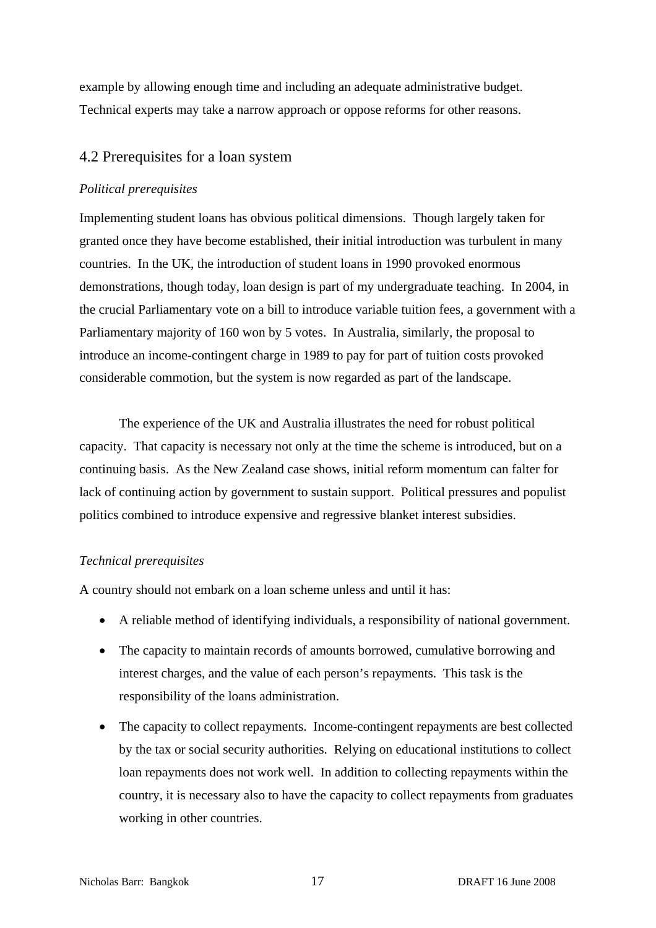example by allowing enough time and including an adequate administrative budget. Technical experts may take a narrow approach or oppose reforms for other reasons.

## 4.2 Prerequisites for a loan system

### *Political prerequisites*

Implementing student loans has obvious political dimensions. Though largely taken for granted once they have become established, their initial introduction was turbulent in many countries. In the UK, the introduction of student loans in 1990 provoked enormous demonstrations, though today, loan design is part of my undergraduate teaching. In 2004, in the crucial Parliamentary vote on a bill to introduce variable tuition fees, a government with a Parliamentary majority of 160 won by 5 votes. In Australia, similarly, the proposal to introduce an income-contingent charge in 1989 to pay for part of tuition costs provoked considerable commotion, but the system is now regarded as part of the landscape.

The experience of the UK and Australia illustrates the need for robust political capacity. That capacity is necessary not only at the time the scheme is introduced, but on a continuing basis. As the New Zealand case shows, initial reform momentum can falter for lack of continuing action by government to sustain support. Political pressures and populist politics combined to introduce expensive and regressive blanket interest subsidies.

#### *Technical prerequisites*

A country should not embark on a loan scheme unless and until it has:

- A reliable method of identifying individuals, a responsibility of national government.
- The capacity to maintain records of amounts borrowed, cumulative borrowing and interest charges, and the value of each person's repayments. This task is the responsibility of the loans administration.
- The capacity to collect repayments. Income-contingent repayments are best collected by the tax or social security authorities. Relying on educational institutions to collect loan repayments does not work well. In addition to collecting repayments within the country, it is necessary also to have the capacity to collect repayments from graduates working in other countries.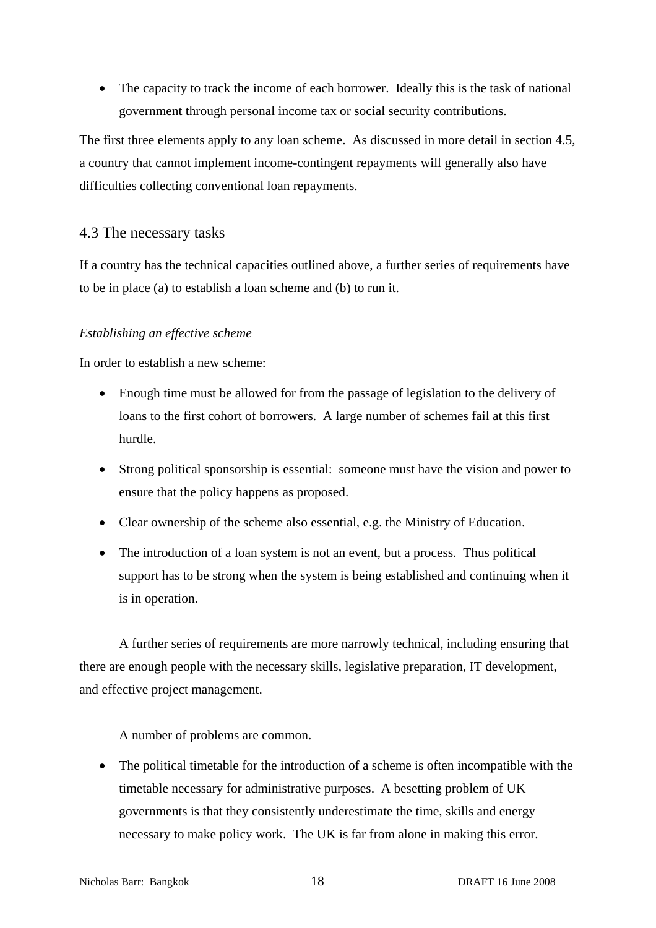• The capacity to track the income of each borrower. Ideally this is the task of national government through personal income tax or social security contributions.

The first three elements apply to any loan scheme. As discussed in more detail in section 4.5, a country that cannot implement income-contingent repayments will generally also have difficulties collecting conventional loan repayments.

## 4.3 The necessary tasks

If a country has the technical capacities outlined above, a further series of requirements have to be in place (a) to establish a loan scheme and (b) to run it.

## *Establishing an effective scheme*

In order to establish a new scheme:

- Enough time must be allowed for from the passage of legislation to the delivery of loans to the first cohort of borrowers. A large number of schemes fail at this first hurdle.
- Strong political sponsorship is essential: someone must have the vision and power to ensure that the policy happens as proposed.
- Clear ownership of the scheme also essential, e.g. the Ministry of Education.
- The introduction of a loan system is not an event, but a process. Thus political support has to be strong when the system is being established and continuing when it is in operation.

A further series of requirements are more narrowly technical, including ensuring that there are enough people with the necessary skills, legislative preparation, IT development, and effective project management.

A number of problems are common.

• The political timetable for the introduction of a scheme is often incompatible with the timetable necessary for administrative purposes. A besetting problem of UK governments is that they consistently underestimate the time, skills and energy necessary to make policy work. The UK is far from alone in making this error.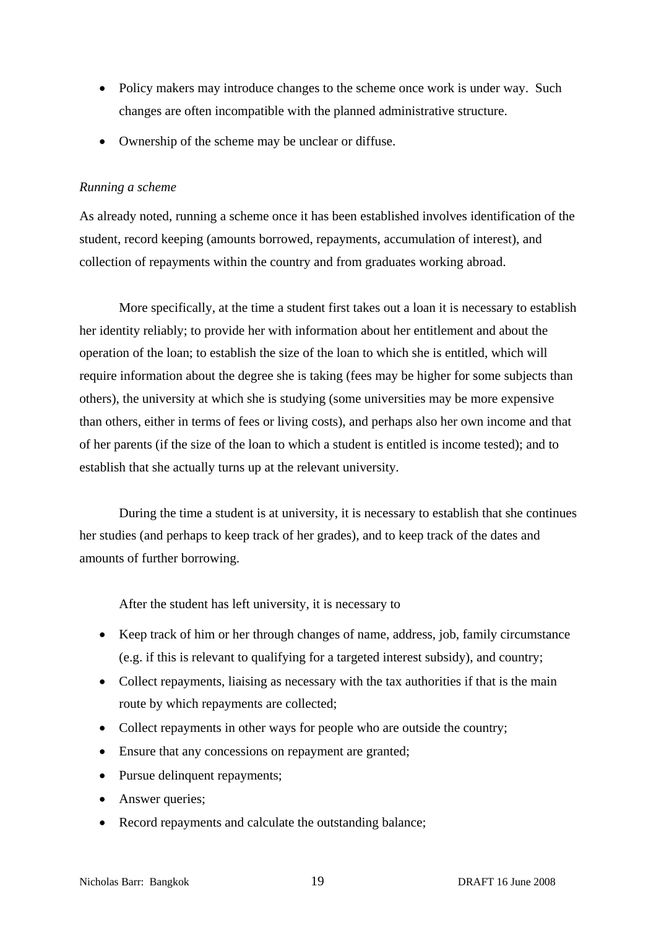- Policy makers may introduce changes to the scheme once work is under way. Such changes are often incompatible with the planned administrative structure.
- Ownership of the scheme may be unclear or diffuse.

## *Running a scheme*

As already noted, running a scheme once it has been established involves identification of the student, record keeping (amounts borrowed, repayments, accumulation of interest), and collection of repayments within the country and from graduates working abroad.

More specifically, at the time a student first takes out a loan it is necessary to establish her identity reliably; to provide her with information about her entitlement and about the operation of the loan; to establish the size of the loan to which she is entitled, which will require information about the degree she is taking (fees may be higher for some subjects than others), the university at which she is studying (some universities may be more expensive than others, either in terms of fees or living costs), and perhaps also her own income and that of her parents (if the size of the loan to which a student is entitled is income tested); and to establish that she actually turns up at the relevant university.

During the time a student is at university, it is necessary to establish that she continues her studies (and perhaps to keep track of her grades), and to keep track of the dates and amounts of further borrowing.

After the student has left university, it is necessary to

- Keep track of him or her through changes of name, address, job, family circumstance (e.g. if this is relevant to qualifying for a targeted interest subsidy), and country;
- Collect repayments, liaising as necessary with the tax authorities if that is the main route by which repayments are collected;
- Collect repayments in other ways for people who are outside the country;
- Ensure that any concessions on repayment are granted;
- Pursue delinquent repayments;
- Answer queries;
- Record repayments and calculate the outstanding balance;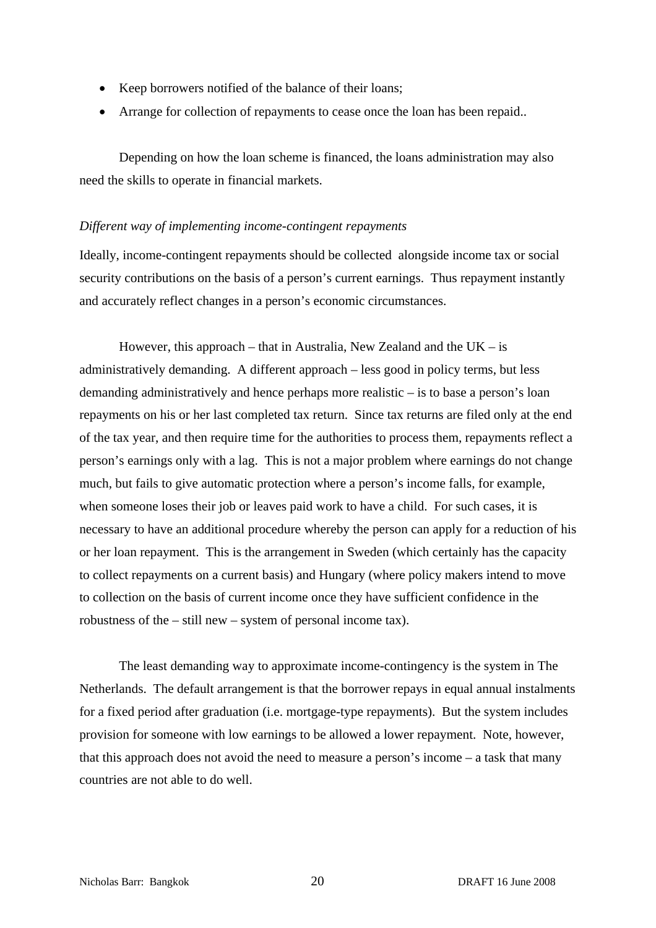- Keep borrowers notified of the balance of their loans;
- Arrange for collection of repayments to cease once the loan has been repaid..

Depending on how the loan scheme is financed, the loans administration may also need the skills to operate in financial markets.

#### *Different way of implementing income-contingent repayments*

Ideally, income-contingent repayments should be collected alongside income tax or social security contributions on the basis of a person's current earnings. Thus repayment instantly and accurately reflect changes in a person's economic circumstances.

However, this approach – that in Australia, New Zealand and the  $UK - is$ administratively demanding. A different approach – less good in policy terms, but less demanding administratively and hence perhaps more realistic – is to base a person's loan repayments on his or her last completed tax return. Since tax returns are filed only at the end of the tax year, and then require time for the authorities to process them, repayments reflect a person's earnings only with a lag. This is not a major problem where earnings do not change much, but fails to give automatic protection where a person's income falls, for example, when someone loses their job or leaves paid work to have a child. For such cases, it is necessary to have an additional procedure whereby the person can apply for a reduction of his or her loan repayment. This is the arrangement in Sweden (which certainly has the capacity to collect repayments on a current basis) and Hungary (where policy makers intend to move to collection on the basis of current income once they have sufficient confidence in the robustness of the – still new – system of personal income tax).

 The least demanding way to approximate income-contingency is the system in The Netherlands. The default arrangement is that the borrower repays in equal annual instalments for a fixed period after graduation (i.e. mortgage-type repayments). But the system includes provision for someone with low earnings to be allowed a lower repayment. Note, however, that this approach does not avoid the need to measure a person's income – a task that many countries are not able to do well.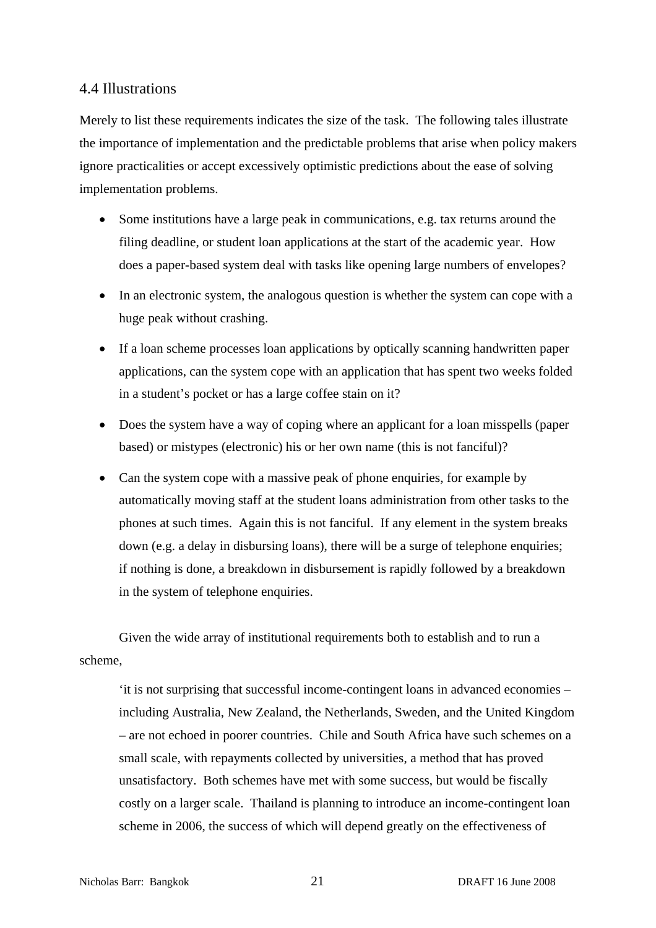## 4.4 Illustrations

Merely to list these requirements indicates the size of the task. The following tales illustrate the importance of implementation and the predictable problems that arise when policy makers ignore practicalities or accept excessively optimistic predictions about the ease of solving implementation problems.

- Some institutions have a large peak in communications, e.g. tax returns around the filing deadline, or student loan applications at the start of the academic year. How does a paper-based system deal with tasks like opening large numbers of envelopes?
- In an electronic system, the analogous question is whether the system can cope with a huge peak without crashing.
- If a loan scheme processes loan applications by optically scanning handwritten paper applications, can the system cope with an application that has spent two weeks folded in a student's pocket or has a large coffee stain on it?
- Does the system have a way of coping where an applicant for a loan misspells (paper based) or mistypes (electronic) his or her own name (this is not fanciful)?
- Can the system cope with a massive peak of phone enquiries, for example by automatically moving staff at the student loans administration from other tasks to the phones at such times. Again this is not fanciful. If any element in the system breaks down (e.g. a delay in disbursing loans), there will be a surge of telephone enquiries; if nothing is done, a breakdown in disbursement is rapidly followed by a breakdown in the system of telephone enquiries.

Given the wide array of institutional requirements both to establish and to run a scheme,

'it is not surprising that successful income-contingent loans in advanced economies – including Australia, New Zealand, the Netherlands, Sweden, and the United Kingdom – are not echoed in poorer countries. Chile and South Africa have such schemes on a small scale, with repayments collected by universities, a method that has proved unsatisfactory. Both schemes have met with some success, but would be fiscally costly on a larger scale. Thailand is planning to introduce an income-contingent loan scheme in 2006, the success of which will depend greatly on the effectiveness of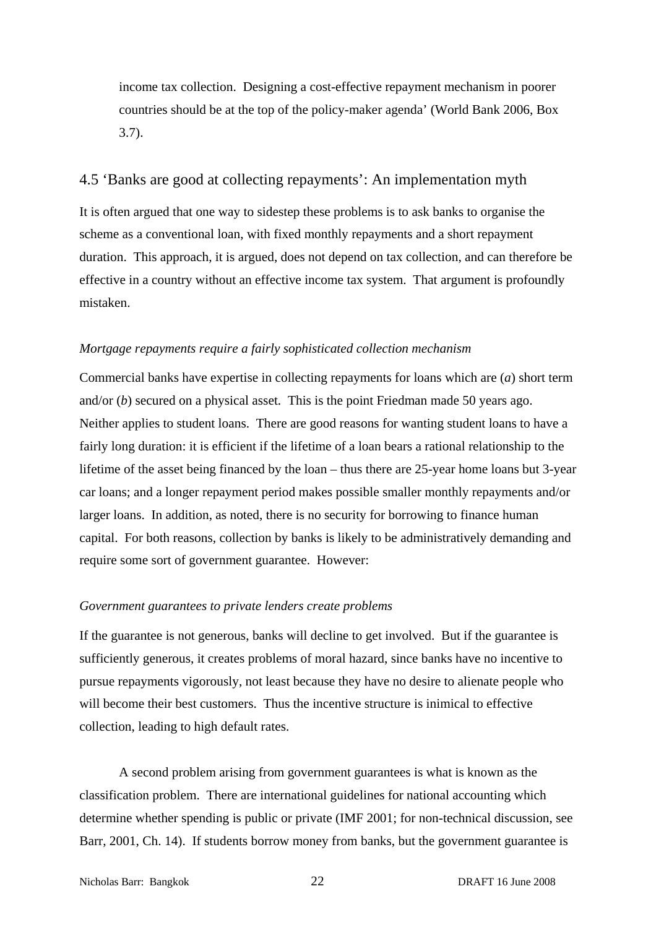income tax collection. Designing a cost-effective repayment mechanism in poorer countries should be at the top of the policy-maker agenda' (World Bank 2006, Box 3.7).

## 4.5 'Banks are good at collecting repayments': An implementation myth

It is often argued that one way to sidestep these problems is to ask banks to organise the scheme as a conventional loan, with fixed monthly repayments and a short repayment duration. This approach, it is argued, does not depend on tax collection, and can therefore be effective in a country without an effective income tax system. That argument is profoundly mistaken.

### *Mortgage repayments require a fairly sophisticated collection mechanism*

Commercial banks have expertise in collecting repayments for loans which are (*a*) short term and/or (*b*) secured on a physical asset. This is the point Friedman made 50 years ago. Neither applies to student loans. There are good reasons for wanting student loans to have a fairly long duration: it is efficient if the lifetime of a loan bears a rational relationship to the lifetime of the asset being financed by the loan – thus there are 25-year home loans but 3-year car loans; and a longer repayment period makes possible smaller monthly repayments and/or larger loans. In addition, as noted, there is no security for borrowing to finance human capital. For both reasons, collection by banks is likely to be administratively demanding and require some sort of government guarantee. However:

#### *Government guarantees to private lenders create problems*

If the guarantee is not generous, banks will decline to get involved. But if the guarantee is sufficiently generous, it creates problems of moral hazard, since banks have no incentive to pursue repayments vigorously, not least because they have no desire to alienate people who will become their best customers. Thus the incentive structure is inimical to effective collection, leading to high default rates.

 A second problem arising from government guarantees is what is known as the classification problem. There are international guidelines for national accounting which determine whether spending is public or private (IMF 2001; for non-technical discussion, see Barr, 2001, Ch. 14). If students borrow money from banks, but the government guarantee is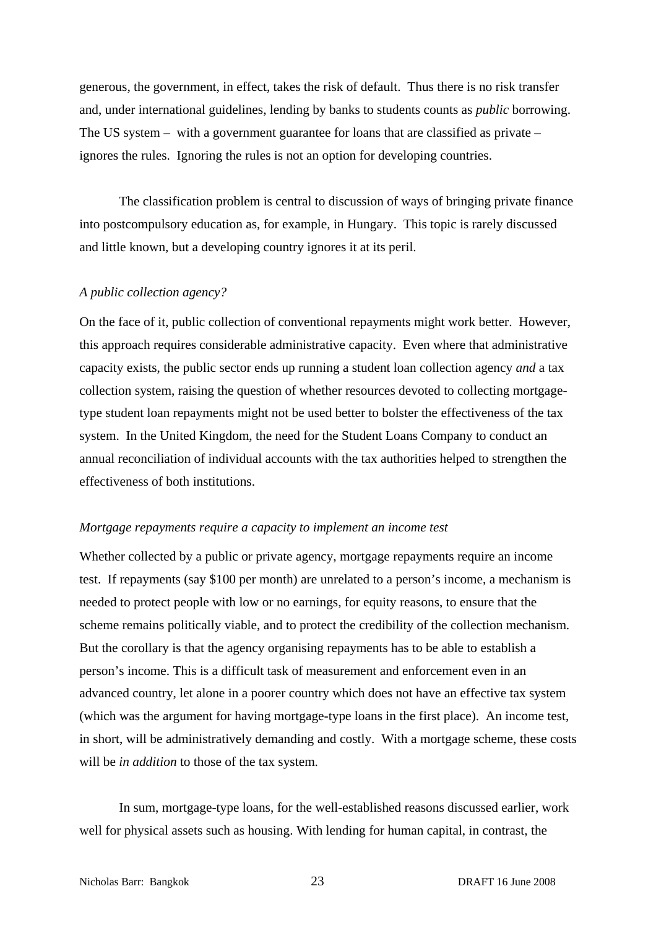generous, the government, in effect, takes the risk of default. Thus there is no risk transfer and, under international guidelines, lending by banks to students counts as *public* borrowing. The US system – with a government guarantee for loans that are classified as private – ignores the rules. Ignoring the rules is not an option for developing countries.

The classification problem is central to discussion of ways of bringing private finance into postcompulsory education as, for example, in Hungary. This topic is rarely discussed and little known, but a developing country ignores it at its peril.

#### *A public collection agency?*

On the face of it, public collection of conventional repayments might work better. However, this approach requires considerable administrative capacity. Even where that administrative capacity exists, the public sector ends up running a student loan collection agency *and* a tax collection system, raising the question of whether resources devoted to collecting mortgagetype student loan repayments might not be used better to bolster the effectiveness of the tax system. In the United Kingdom, the need for the Student Loans Company to conduct an annual reconciliation of individual accounts with the tax authorities helped to strengthen the effectiveness of both institutions.

#### *Mortgage repayments require a capacity to implement an income test*

Whether collected by a public or private agency, mortgage repayments require an income test. If repayments (say \$100 per month) are unrelated to a person's income, a mechanism is needed to protect people with low or no earnings, for equity reasons, to ensure that the scheme remains politically viable, and to protect the credibility of the collection mechanism. But the corollary is that the agency organising repayments has to be able to establish a person's income. This is a difficult task of measurement and enforcement even in an advanced country, let alone in a poorer country which does not have an effective tax system (which was the argument for having mortgage-type loans in the first place). An income test, in short, will be administratively demanding and costly. With a mortgage scheme, these costs will be *in addition* to those of the tax system.

 In sum, mortgage-type loans, for the well-established reasons discussed earlier, work well for physical assets such as housing. With lending for human capital, in contrast, the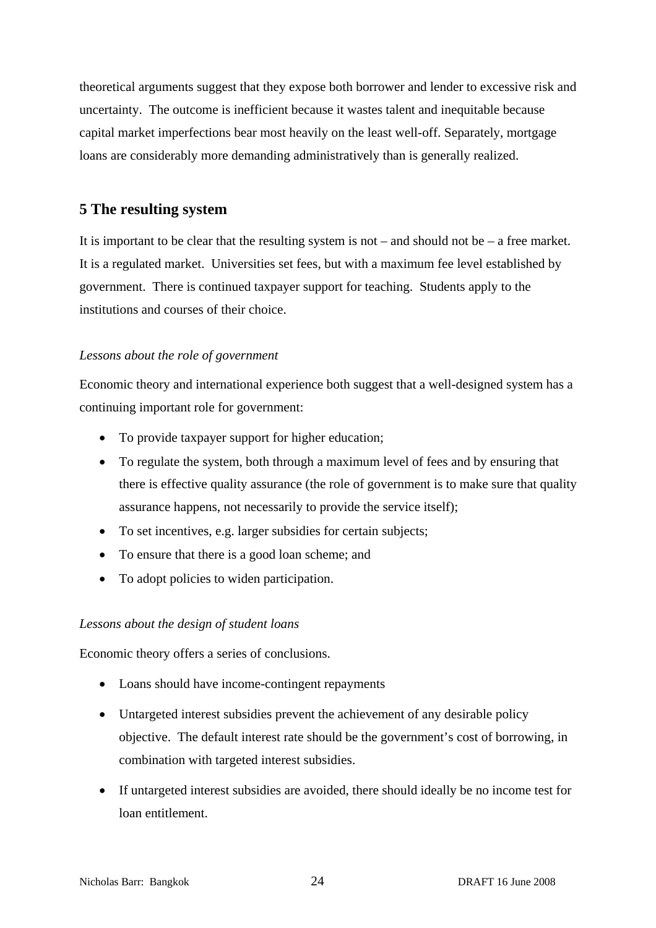theoretical arguments suggest that they expose both borrower and lender to excessive risk and uncertainty. The outcome is inefficient because it wastes talent and inequitable because capital market imperfections bear most heavily on the least well-off. Separately, mortgage loans are considerably more demanding administratively than is generally realized.

## **5 The resulting system**

It is important to be clear that the resulting system is not – and should not be – a free market. It is a regulated market. Universities set fees, but with a maximum fee level established by government. There is continued taxpayer support for teaching. Students apply to the institutions and courses of their choice.

## *Lessons about the role of government*

Economic theory and international experience both suggest that a well-designed system has a continuing important role for government:

- To provide taxpayer support for higher education;
- To regulate the system, both through a maximum level of fees and by ensuring that there is effective quality assurance (the role of government is to make sure that quality assurance happens, not necessarily to provide the service itself);
- To set incentives, e.g. larger subsidies for certain subjects;
- To ensure that there is a good loan scheme; and
- To adopt policies to widen participation.

## *Lessons about the design of student loans*

Economic theory offers a series of conclusions.

- Loans should have income-contingent repayments
- Untargeted interest subsidies prevent the achievement of any desirable policy objective. The default interest rate should be the government's cost of borrowing, in combination with targeted interest subsidies.
- If untargeted interest subsidies are avoided, there should ideally be no income test for loan entitlement.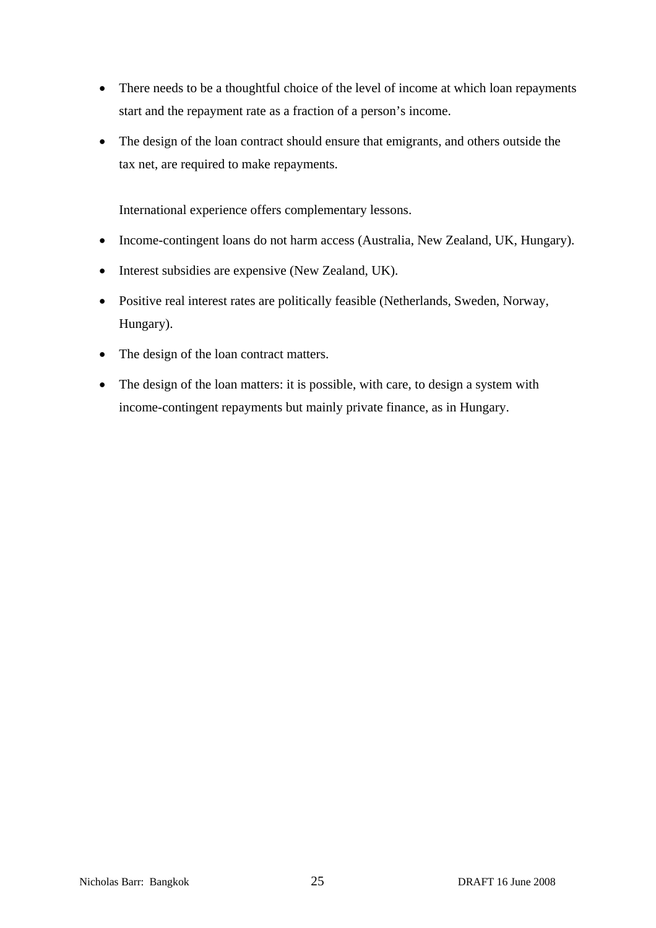- There needs to be a thoughtful choice of the level of income at which loan repayments start and the repayment rate as a fraction of a person's income.
- The design of the loan contract should ensure that emigrants, and others outside the tax net, are required to make repayments.

International experience offers complementary lessons.

- Income-contingent loans do not harm access (Australia, New Zealand, UK, Hungary).
- Interest subsidies are expensive (New Zealand, UK).
- Positive real interest rates are politically feasible (Netherlands, Sweden, Norway, Hungary).
- The design of the loan contract matters.
- The design of the loan matters: it is possible, with care, to design a system with income-contingent repayments but mainly private finance, as in Hungary.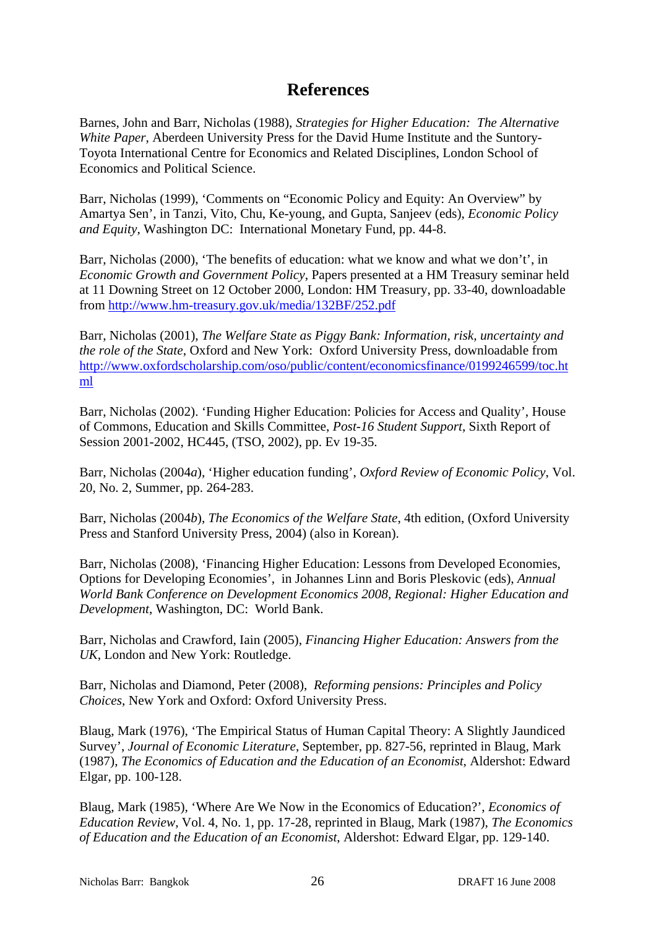## **References**

Barnes, John and Barr, Nicholas (1988), *Strategies for Higher Education: The Alternative White Paper*, Aberdeen University Press for the David Hume Institute and the Suntory-Toyota International Centre for Economics and Related Disciplines, London School of Economics and Political Science.

Barr, Nicholas (1999), 'Comments on "Economic Policy and Equity: An Overview" by Amartya Sen', in Tanzi, Vito, Chu, Ke-young, and Gupta, Sanjeev (eds), *Economic Policy and Equity*, Washington DC: International Monetary Fund, pp. 44-8.

Barr, Nicholas (2000), 'The benefits of education: what we know and what we don't', in *Economic Growth and Government Policy*, Papers presented at a HM Treasury seminar held at 11 Downing Street on 12 October 2000, London: HM Treasury, pp. 33-40, downloadable from http://www.hm-treasury.gov.uk/media/132BF/252.pdf

Barr, Nicholas (2001), *The Welfare State as Piggy Bank: Information, risk, uncertainty and the role of the State*, Oxford and New York: Oxford University Press, downloadable from [http://www.oxfordscholarship.com/oso/public/content/economicsfinance/0199246599/toc.ht](http://www.oxfordscholarship.com/oso/public/content/economicsfinance/0199246599/toc.html) [ml](http://www.oxfordscholarship.com/oso/public/content/economicsfinance/0199246599/toc.html)

Barr, Nicholas (2002). 'Funding Higher Education: Policies for Access and Quality', House of Commons, Education and Skills Committee, *Post-16 Student Support*, Sixth Report of Session 2001-2002, HC445, (TSO, 2002), pp. Ev 19-35.

Barr, Nicholas (2004*a*), 'Higher education funding', *Oxford Review of Economic Policy*, Vol. 20, No. 2, Summer, pp. 264-283.

Barr, Nicholas (2004*b*), *The Economics of the Welfare State*, 4th edition, (Oxford University Press and Stanford University Press, 2004) (also in Korean).

Barr, Nicholas (2008), 'Financing Higher Education: Lessons from Developed Economies, Options for Developing Economies', in Johannes Linn and Boris Pleskovic (eds), *Annual World Bank Conference on Development Economics 2008, Regional: Higher Education and Development*, Washington, DC: World Bank.

Barr, Nicholas and Crawford, Iain (2005), *Financing Higher Education: Answers from the UK*, London and New York: Routledge.

Barr, Nicholas and Diamond, Peter (2008), *Reforming pensions: Principles and Policy Choices*, New York and Oxford: Oxford University Press.

Blaug, Mark (1976), 'The Empirical Status of Human Capital Theory: A Slightly Jaundiced Survey', *Journal of Economic Literature*, September, pp. 827-56, reprinted in Blaug, Mark (1987), *The Economics of Education and the Education of an Economist*, Aldershot: Edward Elgar, pp. 100-128.

Blaug, Mark (1985), 'Where Are We Now in the Economics of Education?', *Economics of Education Review*, Vol. 4, No. 1, pp. 17-28, reprinted in Blaug, Mark (1987), *The Economics of Education and the Education of an Economist*, Aldershot: Edward Elgar, pp. 129-140.